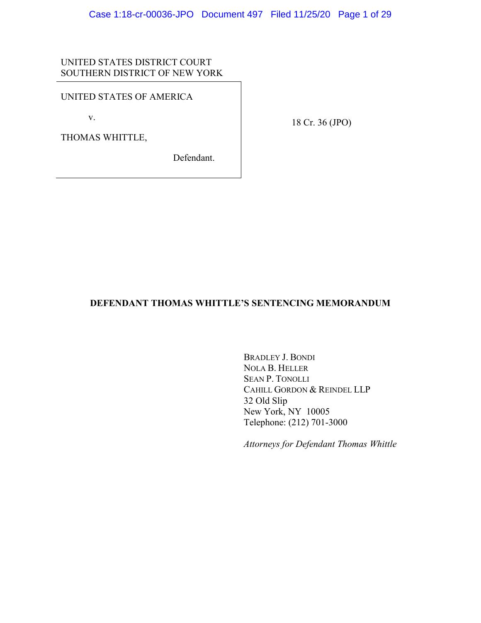# UNITED STATES DISTRICT COURT SOUTHERN DISTRICT OF NEW YORK

### UNITED STATES OF AMERICA

v.

THOMAS WHITTLE,

Defendant.

18 Cr. 36 (JPO)

# **DEFENDANT THOMAS WHITTLE'S SENTENCING MEMORANDUM**

BRADLEY J. BONDI NOLA B. HELLER SEAN P. TONOLLI CAHILL GORDON & REINDEL LLP 32 Old Slip New York, NY 10005 Telephone: (212) 701-3000

*Attorneys for Defendant Thomas Whittle*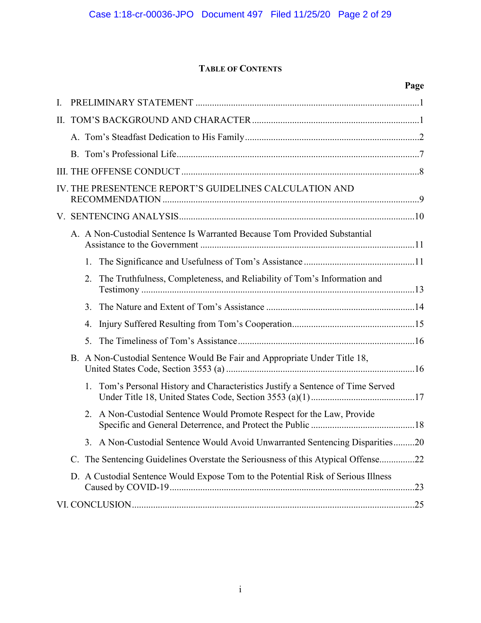# **TABLE OF CONTENTS**

|    |    |                                                                                   | Page |
|----|----|-----------------------------------------------------------------------------------|------|
| I. |    |                                                                                   |      |
| Π. |    |                                                                                   |      |
|    |    |                                                                                   |      |
|    |    |                                                                                   |      |
|    |    |                                                                                   |      |
|    |    | IV. THE PRESENTENCE REPORT'S GUIDELINES CALCULATION AND                           |      |
|    |    |                                                                                   |      |
|    |    | A. A Non-Custodial Sentence Is Warranted Because Tom Provided Substantial         |      |
|    | 1. |                                                                                   |      |
|    | 2. | The Truthfulness, Completeness, and Reliability of Tom's Information and          |      |
|    | 3. |                                                                                   |      |
|    | 4. |                                                                                   |      |
|    | 5. |                                                                                   |      |
|    |    | B. A Non-Custodial Sentence Would Be Fair and Appropriate Under Title 18,         |      |
|    | 1. | Tom's Personal History and Characteristics Justify a Sentence of Time Served      |      |
|    | 2. | A Non-Custodial Sentence Would Promote Respect for the Law, Provide               |      |
|    |    | 3. A Non-Custodial Sentence Would Avoid Unwarranted Sentencing Disparities20      |      |
|    |    | C. The Sentencing Guidelines Overstate the Seriousness of this Atypical Offense22 |      |
|    |    | D. A Custodial Sentence Would Expose Tom to the Potential Risk of Serious Illness |      |
|    |    |                                                                                   |      |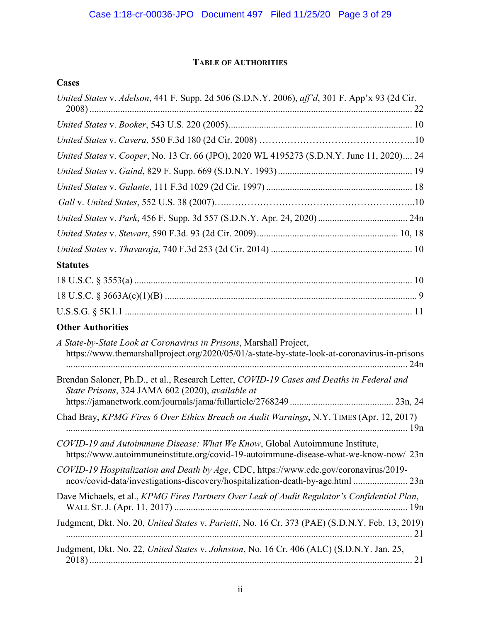# **TABLE OF AUTHORITIES**

# **Cases**

| United States v. Adelson, 441 F. Supp. 2d 506 (S.D.N.Y. 2006), aff'd, 301 F. App'x 93 (2d Cir.                                                                           |
|--------------------------------------------------------------------------------------------------------------------------------------------------------------------------|
|                                                                                                                                                                          |
|                                                                                                                                                                          |
| United States v. Cooper, No. 13 Cr. 66 (JPO), 2020 WL 4195273 (S.D.N.Y. June 11, 2020) 24                                                                                |
|                                                                                                                                                                          |
|                                                                                                                                                                          |
|                                                                                                                                                                          |
|                                                                                                                                                                          |
|                                                                                                                                                                          |
|                                                                                                                                                                          |
| <b>Statutes</b>                                                                                                                                                          |
|                                                                                                                                                                          |
|                                                                                                                                                                          |
|                                                                                                                                                                          |
| <b>Other Authorities</b>                                                                                                                                                 |
| A State-by-State Look at Coronavirus in Prisons, Marshall Project,<br>https://www.themarshallproject.org/2020/05/01/a-state-by-state-look-at-coronavirus-in-prisons      |
| Brendan Saloner, Ph.D., et al., Research Letter, COVID-19 Cases and Deaths in Federal and<br>State Prisons, 324 JAMA 602 (2020), available at                            |
| Chad Bray, KPMG Fires 6 Over Ethics Breach on Audit Warnings, N.Y. TIMES (Apr. 12, 2017)                                                                                 |
| COVID-19 and Autoimmune Disease: What We Know, Global Autoimmune Institute,<br>https://www.autoimmuneinstitute.org/covid-19-autoimmune-disease-what-we-know-now/23n      |
| COVID-19 Hospitalization and Death by Age, CDC, https://www.cdc.gov/coronavirus/2019-<br>ncov/covid-data/investigations-discovery/hospitalization-death-by-age.html  23n |
| Dave Michaels, et al., KPMG Fires Partners Over Leak of Audit Regulator's Confidential Plan,                                                                             |
| Judgment, Dkt. No. 20, United States v. Parietti, No. 16 Cr. 373 (PAE) (S.D.N.Y. Feb. 13, 2019)                                                                          |
| Judgment, Dkt. No. 22, United States v. Johnston, No. 16 Cr. 406 (ALC) (S.D.N.Y. Jan. 25,                                                                                |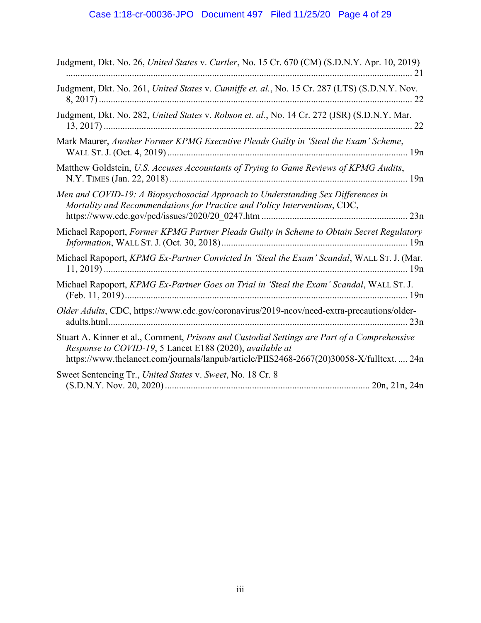| Judgment, Dkt. No. 26, United States v. Curtler, No. 15 Cr. 670 (CM) (S.D.N.Y. Apr. 10, 2019)                                                                                                                                                         |
|-------------------------------------------------------------------------------------------------------------------------------------------------------------------------------------------------------------------------------------------------------|
| Judgment, Dkt. No. 261, United States v. Cunniffe et. al., No. 15 Cr. 287 (LTS) (S.D.N.Y. Nov.                                                                                                                                                        |
| Judgment, Dkt. No. 282, United States v. Robson et. al., No. 14 Cr. 272 (JSR) (S.D.N.Y. Mar.                                                                                                                                                          |
| Mark Maurer, Another Former KPMG Executive Pleads Guilty in 'Steal the Exam' Scheme,                                                                                                                                                                  |
| Matthew Goldstein, U.S. Accuses Accountants of Trying to Game Reviews of KPMG Audits,                                                                                                                                                                 |
| Men and COVID-19: A Biopsychosocial Approach to Understanding Sex Differences in<br>Mortality and Recommendations for Practice and Policy Interventions, CDC,                                                                                         |
| Michael Rapoport, Former KPMG Partner Pleads Guilty in Scheme to Obtain Secret Regulatory                                                                                                                                                             |
| Michael Rapoport, KPMG Ex-Partner Convicted In 'Steal the Exam' Scandal, WALL ST. J. (Mar.                                                                                                                                                            |
| Michael Rapoport, KPMG Ex-Partner Goes on Trial in 'Steal the Exam' Scandal, WALL ST. J.                                                                                                                                                              |
| Older Adults, CDC, https://www.cdc.gov/coronavirus/2019-ncov/need-extra-precautions/older-                                                                                                                                                            |
| Stuart A. Kinner et al., Comment, Prisons and Custodial Settings are Part of a Comprehensive<br>Response to COVID-19, 5 Lancet E188 (2020), available at<br>https://www.thelancet.com/journals/lanpub/article/PIIS2468-2667(20)30058-X/fulltext.  24n |
| Sweet Sentencing Tr., United States v. Sweet, No. 18 Cr. 8                                                                                                                                                                                            |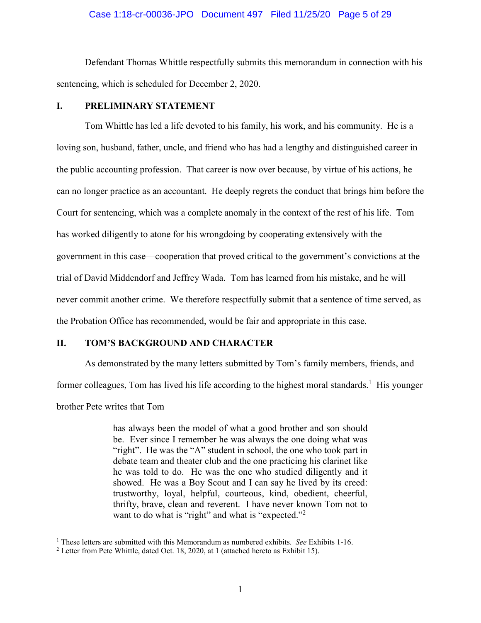#### Case 1:18-cr-00036-JPO Document 497 Filed 11/25/20 Page 5 of 29

Defendant Thomas Whittle respectfully submits this memorandum in connection with his sentencing, which is scheduled for December 2, 2020.

### **I. PRELIMINARY STATEMENT**

Tom Whittle has led a life devoted to his family, his work, and his community. He is a loving son, husband, father, uncle, and friend who has had a lengthy and distinguished career in the public accounting profession. That career is now over because, by virtue of his actions, he can no longer practice as an accountant. He deeply regrets the conduct that brings him before the Court for sentencing, which was a complete anomaly in the context of the rest of his life. Tom has worked diligently to atone for his wrongdoing by cooperating extensively with the government in this case—cooperation that proved critical to the government's convictions at the trial of David Middendorf and Jeffrey Wada. Tom has learned from his mistake, and he will never commit another crime. We therefore respectfully submit that a sentence of time served, as the Probation Office has recommended, would be fair and appropriate in this case.

### **II. TOM'S BACKGROUND AND CHARACTER**

As demonstrated by the many letters submitted by Tom's family members, friends, and former colleagues, Tom has lived his life according to the highest moral standards.<sup>1</sup> His younger brother Pete writes that Tom

> has always been the model of what a good brother and son should be. Ever since I remember he was always the one doing what was "right". He was the "A" student in school, the one who took part in debate team and theater club and the one practicing his clarinet like he was told to do. He was the one who studied diligently and it showed. He was a Boy Scout and I can say he lived by its creed: trustworthy, loyal, helpful, courteous, kind, obedient, cheerful, thrifty, brave, clean and reverent. I have never known Tom not to want to do what is "right" and what is "expected."<sup>2</sup>

<sup>1</sup> These letters are submitted with this Memorandum as numbered exhibits. *See* Exhibits 1-16.

<sup>&</sup>lt;sup>2</sup> Letter from Pete Whittle, dated Oct. 18, 2020, at 1 (attached hereto as Exhibit 15).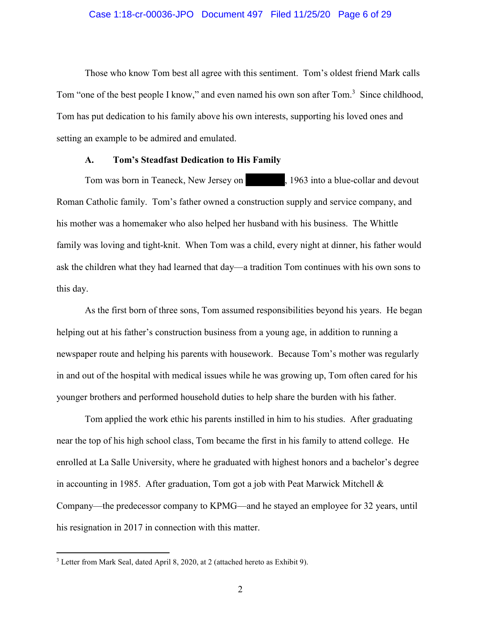#### Case 1:18-cr-00036-JPO Document 497 Filed 11/25/20 Page 6 of 29

Those who know Tom best all agree with this sentiment. Tom's oldest friend Mark calls Tom "one of the best people I know," and even named his own son after Tom.<sup>3</sup> Since childhood, Tom has put dedication to his family above his own interests, supporting his loved ones and setting an example to be admired and emulated.

#### **A. Tom's Steadfast Dedication to His Family**

Tom was born in Teaneck, New Jersey on , 1963 into a blue-collar and devout Roman Catholic family. Tom's father owned a construction supply and service company, and his mother was a homemaker who also helped her husband with his business. The Whittle family was loving and tight-knit. When Tom was a child, every night at dinner, his father would ask the children what they had learned that day—a tradition Tom continues with his own sons to this day. is Fa<br>onstru

As the first born of three sons, Tom assumed responsibilities beyond his years. He began helping out at his father's construction business from a young age, in addition to running a newspaper route and helping his parents with housework. Because Tom's mother was regularly in and out of the hospital with medical issues while he was growing up, Tom often cared for his younger brothers and performed household duties to help share the burden with his father.

Tom applied the work ethic his parents instilled in him to his studies. After graduating near the top of his high school class, Tom became the first in his family to attend college. He enrolled at La Salle University, where he graduated with highest honors and a bachelor's degree in accounting in 1985. After graduation, Tom got a job with Peat Marwick Mitchell & Company—the predecessor company to KPMG—and he stayed an employee for 32 years, until his resignation in 2017 in connection with this matter.

<sup>&</sup>lt;sup>3</sup> Letter from Mark Seal, dated April 8, 2020, at 2 (attached hereto as Exhibit 9).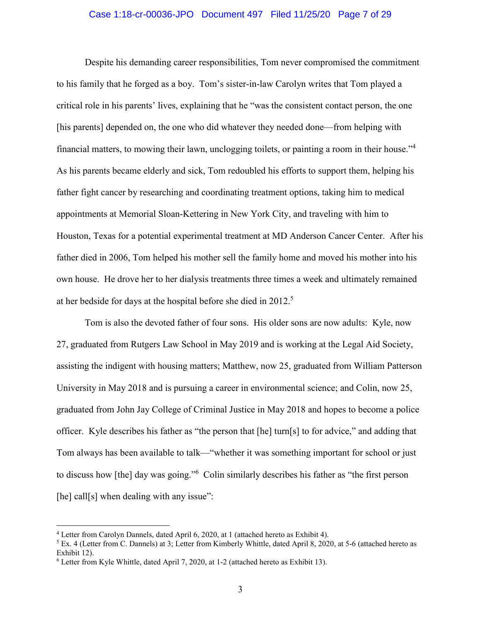#### Case 1:18-cr-00036-JPO Document 497 Filed 11/25/20 Page 7 of 29

Despite his demanding career responsibilities, Tom never compromised the commitment to his family that he forged as a boy. Tom's sister-in-law Carolyn writes that Tom played a critical role in his parents' lives, explaining that he "was the consistent contact person, the one [his parents] depended on, the one who did whatever they needed done—from helping with financial matters, to mowing their lawn, unclogging toilets, or painting a room in their house."<sup>4</sup> As his parents became elderly and sick, Tom redoubled his efforts to support them, helping his father fight cancer by researching and coordinating treatment options, taking him to medical appointments at Memorial Sloan-Kettering in New York City, and traveling with him to Houston, Texas for a potential experimental treatment at MD Anderson Cancer Center. After his father died in 2006, Tom helped his mother sell the family home and moved his mother into his own house. He drove her to her dialysis treatments three times a week and ultimately remained at her bedside for days at the hospital before she died in 2012.<sup>5</sup>

Tom is also the devoted father of four sons. His older sons are now adults: Kyle, now 27, graduated from Rutgers Law School in May 2019 and is working at the Legal Aid Society, assisting the indigent with housing matters; Matthew, now 25, graduated from William Patterson University in May 2018 and is pursuing a career in environmental science; and Colin, now 25, graduated from John Jay College of Criminal Justice in May 2018 and hopes to become a police officer. Kyle describes his father as "the person that [he] turn[s] to for advice," and adding that Tom always has been available to talk—"whether it was something important for school or just to discuss how [the] day was going."<sup>6</sup> Colin similarly describes his father as "the first person [he] call[s] when dealing with any issue":

<sup>&</sup>lt;sup>4</sup> Letter from Carolyn Dannels, dated April 6, 2020, at 1 (attached hereto as Exhibit 4).

<sup>&</sup>lt;sup>5</sup> Ex. 4 (Letter from C. Dannels) at 3; Letter from Kimberly Whittle, dated April 8, 2020, at 5-6 (attached hereto as Exhibit 12).

<sup>&</sup>lt;sup>6</sup> Letter from Kyle Whittle, dated April 7, 2020, at 1-2 (attached hereto as Exhibit 13).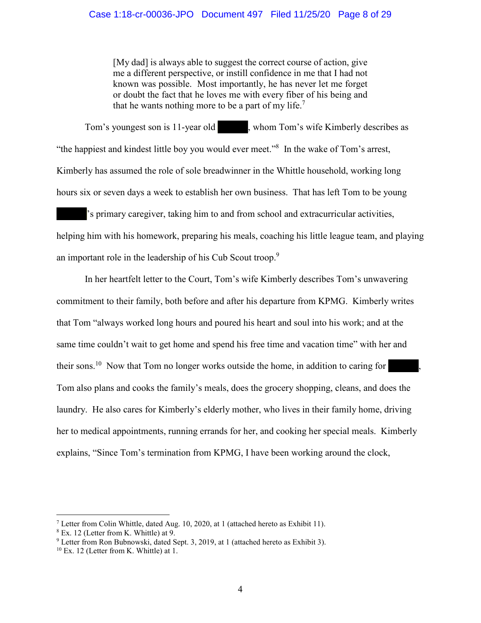#### Case 1:18-cr-00036-JPO Document 497 Filed 11/25/20 Page 8 of 29

[My dad] is always able to suggest the correct course of action, give me a different perspective, or instill confidence in me that I had not known was possible. Most importantly, he has never let me forget or doubt the fact that he loves me with every fiber of his being and that he wants nothing more to be a part of my life.<sup>7</sup>

Tom's youngest son is 11-year old (a), whom Tom's wife Kimberly describes as "the happiest and kindest little boy you would ever meet."<sup>8</sup> In the wake of Tom's arrest, Kimberly has assumed the role of sole breadwinner in the Whittle household, working long hours six or seven days a week to establish her own business. That has left Tom to be young 's primary caregiver, taking him to and from school and extracurricular activities, hours six or seven days a week to establish her own business. That has left Tom to be young<br>'s primary caregiver, taking him to and from school and extracurricular activities,<br>helping him with his homework, preparing his m an important role in the leadership of his Cub Scout troop.<sup>9</sup> to be<br>uld e

In her heartfelt letter to the Court, Tom's wife Kimberly describes Tom's unwavering commitment to their family, both before and after his departure from KPMG. Kimberly writes that Tom "always worked long hours and poured his heart and soul into his work; and at the same time couldn't wait to get home and spend his free time and vacation time" with her and their sons.<sup>10</sup> Now that Tom no longer works outside the home, in addition to caring for same time couldn't wait to get home and spend his free time and vacation time" with her and<br>their sons.<sup>10</sup> Now that Tom no longer works outside the home, in addition to caring for<br>Tom also plans and cooks the family's mea laundry. He also cares for Kimberly's elderly mother, who lives in their family home, driving her to medical appointments, running errands for her, and cooking her special meals. Kimberly explains, "Since Tom's termination from KPMG, I have been working around the clock,

<sup>&</sup>lt;sup>7</sup> Letter from Colin Whittle, dated Aug. 10, 2020, at 1 (attached hereto as Exhibit 11).

<sup>8</sup> Ex. 12 (Letter from K. Whittle) at 9.

<sup>&</sup>lt;sup>9</sup> Letter from Ron Bubnowski, dated Sept. 3, 2019, at 1 (attached hereto as Exhibit 3).

<sup>10</sup> Ex. 12 (Letter from K. Whittle) at 1.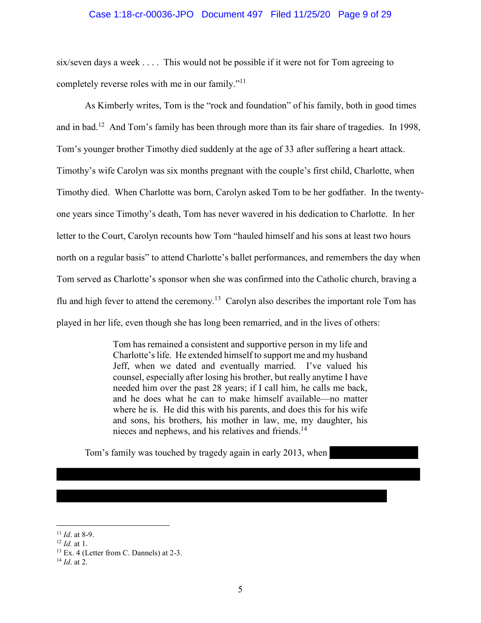#### Case 1:18-cr-00036-JPO Document 497 Filed 11/25/20 Page 9 of 29

six/seven days a week . . . . This would not be possible if it were not for Tom agreeing to completely reverse roles with me in our family."<sup>11</sup>

As Kimberly writes, Tom is the "rock and foundation" of his family, both in good times and in bad.<sup>12</sup> And Tom's family has been through more than its fair share of tragedies. In 1998, Tom's younger brother Timothy died suddenly at the age of 33 after suffering a heart attack. Timothy's wife Carolyn was six months pregnant with the couple's first child, Charlotte, when Timothy died. When Charlotte was born, Carolyn asked Tom to be her godfather. In the twentyone years since Timothy's death, Tom has never wavered in his dedication to Charlotte. In her letter to the Court, Carolyn recounts how Tom "hauled himself and his sons at least two hours north on a regular basis" to attend Charlotte's ballet performances, and remembers the day when Tom served as Charlotte's sponsor when she was confirmed into the Catholic church, braving a flu and high fever to attend the ceremony.<sup>13</sup> Carolyn also describes the important role Tom has played in her life, even though she has long been remarried, and in the lives of others:

> Tom has remained a consistent and supportive person in my life and Charlotte's life. He extended himself to support me and my husband Jeff, when we dated and eventually married. I've valued his counsel, especially after losing his brother, but really anytime I have needed him over the past 28 years; if I call him, he calls me back, and he does what he can to make himself available—no matter where he is. He did this with his parents, and does this for his wife and sons, his brothers, his mother in law, me, my daughter, his nieces and nephews, and his relatives and friends.<sup>14</sup>

Tom's family was touched by tragedy again in early 2013, when

<sup>11</sup> *Id*. at 8-9.

<sup>12</sup> *Id.* at 1.

<sup>13</sup> Ex. 4 (Letter from C. Dannels) at 2-3.

<sup>14</sup> *Id*. at 2.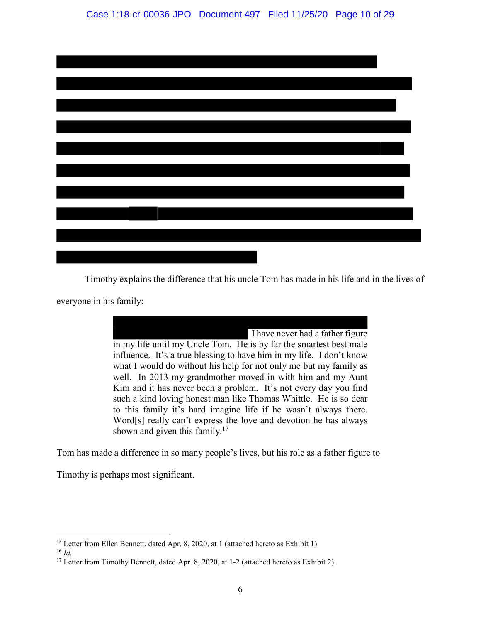Timothy explains the difference that his uncle Tom has made in his life and in the lives of

everyone in his family:

 I have never had a father figure in my life until my Uncle Tom. He is by far the smartest best male influence. It's a true blessing to have him in my life. I don't know what I would do without his help for not only me but my family as well. In 2013 my grandmother moved in with him and my Aunt Kim and it has never been a problem. It's not every day you find such a kind loving honest man like Thomas Whittle. He is so dear to this family it's hard imagine life if he wasn't always there. Word[s] really can't express the love and devotion he has always shown and given this family. $17$ 

Tom has made a difference in so many people's lives, but his role as a father figure to

Timothy is perhaps most significant.

<sup>&</sup>lt;sup>15</sup> Letter from Ellen Bennett, dated Apr. 8, 2020, at 1 (attached hereto as Exhibit 1).

<sup>16</sup> *Id.*

<sup>&</sup>lt;sup>17</sup> Letter from Timothy Bennett, dated Apr. 8, 2020, at 1-2 (attached hereto as Exhibit 2).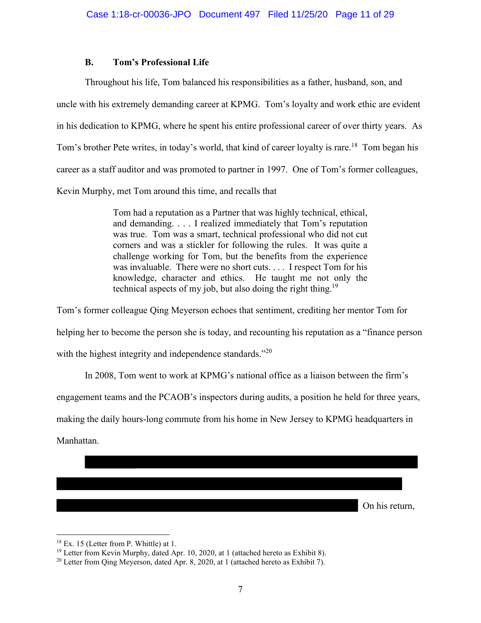### **B. Tom's Professional Life**

Throughout his life, Tom balanced his responsibilities as a father, husband, son, and uncle with his extremely demanding career at KPMG. Tom's loyalty and work ethic are evident in his dedication to KPMG, where he spent his entire professional career of over thirty years. As Tom's brother Pete writes, in today's world, that kind of career loyalty is rare.<sup>18</sup> Tom began his career as a staff auditor and was promoted to partner in 1997. One of Tom's former colleagues, Kevin Murphy, met Tom around this time, and recalls that

> Tom had a reputation as a Partner that was highly technical, ethical, and demanding. . . . I realized immediately that Tom's reputation was true. Tom was a smart, technical professional who did not cut corners and was a stickler for following the rules. It was quite a challenge working for Tom, but the benefits from the experience was invaluable. There were no short cuts. . . . I respect Tom for his knowledge, character and ethics. He taught me not only the technical aspects of my job, but also doing the right thing.<sup>19</sup>

Tom's former colleague Qing Meyerson echoes that sentiment, crediting her mentor Tom for helping her to become the person she is today, and recounting his reputation as a "finance person with the highest integrity and independence standards."<sup>20</sup>

In 2008, Tom went to work at KPMG's national office as a liaison between the firm's

engagement teams and the PCAOB's inspectors during audits, a position he held for three years,

making the daily hours-long commute from his home in New Jersey to KPMG headquarters in

Manhattan.

On his return,

<sup>18</sup> Ex. 15 (Letter from P. Whittle) at 1.

<sup>&</sup>lt;sup>19</sup> Letter from Kevin Murphy, dated Apr. 10, 2020, at 1 (attached hereto as Exhibit 8).

 $20$  Letter from Qing Meyerson, dated Apr. 8, 2020, at 1 (attached hereto as Exhibit 7).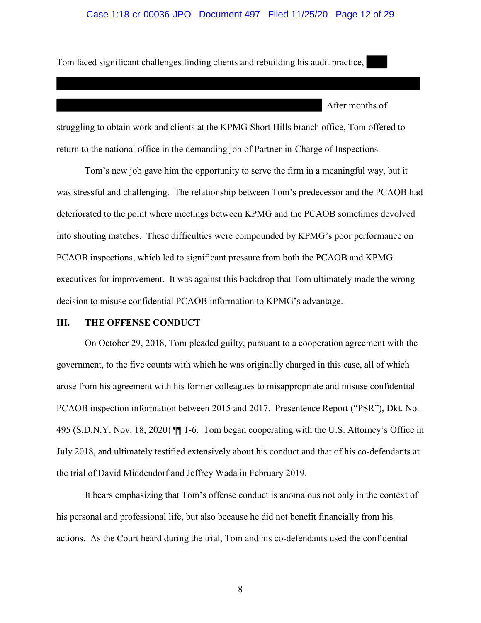#### Case 1:18-cr-00036-JPO Document 497 Filed 11/25/20 Page 12 of 29

Tom faced significant challenges finding clients and rebuilding his audit practice,

After months of

-

struggling to obtain work and clients at the KPMG Short Hills branch office, Tom offered to return to the national office in the demanding job of Partner-in-Charge of Inspections.

Tom's new job gave him the opportunity to serve the firm in a meaningful way, but it was stressful and challenging. The relationship between Tom's predecessor and the PCAOB had deteriorated to the point where meetings between KPMG and the PCAOB sometimes devolved into shouting matches. These difficulties were compounded by KPMG's poor performance on PCAOB inspections, which led to significant pressure from both the PCAOB and KPMG executives for improvement. It was against this backdrop that Tom ultimately made the wrong decision to misuse confidential PCAOB information to KPMG's advantage.

## **III. THE OFFENSE CONDUCT**

On October 29, 2018, Tom pleaded guilty, pursuant to a cooperation agreement with the government, to the five counts with which he was originally charged in this case, all of which arose from his agreement with his former colleagues to misappropriate and misuse confidential PCAOB inspection information between 2015 and 2017. Presentence Report ("PSR"), Dkt. No. 495 (S.D.N.Y. Nov. 18, 2020) ¶¶ 1-6. Tom began cooperating with the U.S. Attorney's Office in July 2018, and ultimately testified extensively about his conduct and that of his co-defendants at the trial of David Middendorf and Jeffrey Wada in February 2019.

It bears emphasizing that Tom's offense conduct is anomalous not only in the context of his personal and professional life, but also because he did not benefit financially from his actions. As the Court heard during the trial, Tom and his co-defendants used the confidential

8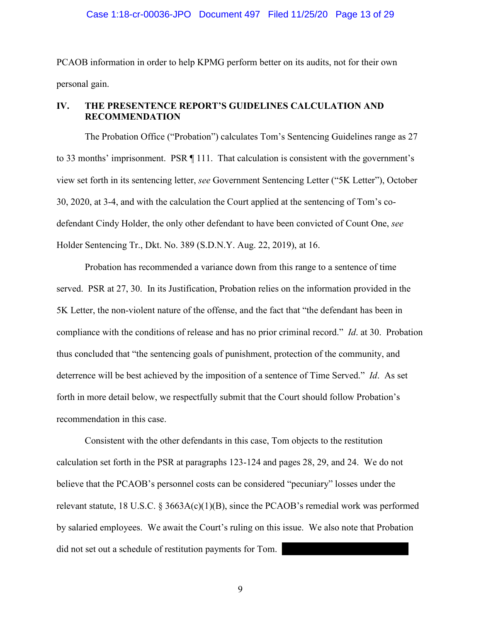PCAOB information in order to help KPMG perform better on its audits, not for their own personal gain.

# **IV. THE PRESENTENCE REPORT'S GUIDELINES CALCULATION AND RECOMMENDATION**

The Probation Office ("Probation") calculates Tom's Sentencing Guidelines range as 27 to 33 months' imprisonment. PSR ¶ 111. That calculation is consistent with the government's view set forth in its sentencing letter, *see* Government Sentencing Letter ("5K Letter"), October 30, 2020, at 3-4, and with the calculation the Court applied at the sentencing of Tom's codefendant Cindy Holder, the only other defendant to have been convicted of Count One, *see*  Holder Sentencing Tr., Dkt. No. 389 (S.D.N.Y. Aug. 22, 2019), at 16.

Probation has recommended a variance down from this range to a sentence of time served. PSR at 27, 30. In its Justification, Probation relies on the information provided in the 5K Letter, the non-violent nature of the offense, and the fact that "the defendant has been in compliance with the conditions of release and has no prior criminal record." *Id*. at 30. Probation thus concluded that "the sentencing goals of punishment, protection of the community, and deterrence will be best achieved by the imposition of a sentence of Time Served." *Id*. As set forth in more detail below, we respectfully submit that the Court should follow Probation's recommendation in this case.

Consistent with the other defendants in this case, Tom objects to the restitution calculation set forth in the PSR at paragraphs 123-124 and pages 28, 29, and 24. We do not believe that the PCAOB's personnel costs can be considered "pecuniary" losses under the relevant statute, 18 U.S.C. § 3663A(c)(1)(B), since the PCAOB's remedial work was performed by salaried employees. We await the Court's ruling on this issue. We also note that Probation did not set out a schedule of restitution payments for Tom.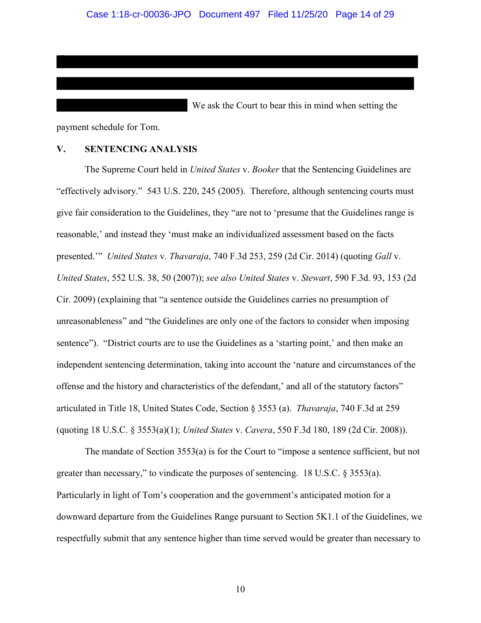We ask the Court to bear this in mind when setting the payment schedule for Tom.

### **V. SENTENCING ANALYSIS**

The Supreme Court held in *United States* v. *Booker* that the Sentencing Guidelines are "effectively advisory." 543 U.S. 220, 245 (2005). Therefore, although sentencing courts must give fair consideration to the Guidelines, they "are not to 'presume that the Guidelines range is reasonable,' and instead they 'must make an individualized assessment based on the facts presented.'" *United States* v. *Thavaraja*, 740 F.3d 253, 259 (2d Cir. 2014) (quoting *Gall* v. *United States*, 552 U.S. 38, 50 (2007)); *see also United States* v. *Stewart*, 590 F.3d. 93, 153 (2d Cir. 2009) (explaining that "a sentence outside the Guidelines carries no presumption of unreasonableness" and "the Guidelines are only one of the factors to consider when imposing sentence"). "District courts are to use the Guidelines as a 'starting point,' and then make an independent sentencing determination, taking into account the 'nature and circumstances of the offense and the history and characteristics of the defendant,' and all of the statutory factors" articulated in Title 18, United States Code, Section § 3553 (a). *Thavaraja*, 740 F.3d at 259 (quoting 18 U.S.C. § 3553(a)(1); *United States* v. *Cavera*, 550 F.3d 180, 189 (2d Cir. 2008)).

The mandate of Section 3553(a) is for the Court to "impose a sentence sufficient, but not greater than necessary," to vindicate the purposes of sentencing. 18 U.S.C. § 3553(a). Particularly in light of Tom's cooperation and the government's anticipated motion for a downward departure from the Guidelines Range pursuant to Section 5K1.1 of the Guidelines, we respectfully submit that any sentence higher than time served would be greater than necessary to

10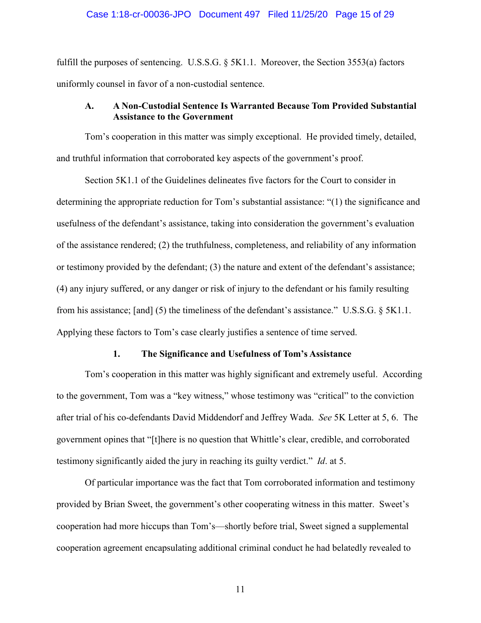#### Case 1:18-cr-00036-JPO Document 497 Filed 11/25/20 Page 15 of 29

fulfill the purposes of sentencing. U.S.S.G.  $\S$  5K1.1. Moreover, the Section 3553(a) factors uniformly counsel in favor of a non-custodial sentence.

## **A. A Non-Custodial Sentence Is Warranted Because Tom Provided Substantial Assistance to the Government**

Tom's cooperation in this matter was simply exceptional. He provided timely, detailed, and truthful information that corroborated key aspects of the government's proof.

Section 5K1.1 of the Guidelines delineates five factors for the Court to consider in determining the appropriate reduction for Tom's substantial assistance: "(1) the significance and usefulness of the defendant's assistance, taking into consideration the government's evaluation of the assistance rendered; (2) the truthfulness, completeness, and reliability of any information or testimony provided by the defendant; (3) the nature and extent of the defendant's assistance; (4) any injury suffered, or any danger or risk of injury to the defendant or his family resulting from his assistance; [and] (5) the timeliness of the defendant's assistance." U.S.S.G. § 5K1.1. Applying these factors to Tom's case clearly justifies a sentence of time served.

#### **1. The Significance and Usefulness of Tom's Assistance**

Tom's cooperation in this matter was highly significant and extremely useful. According to the government, Tom was a "key witness," whose testimony was "critical" to the conviction after trial of his co-defendants David Middendorf and Jeffrey Wada. *See* 5K Letter at 5, 6. The government opines that "[t]here is no question that Whittle's clear, credible, and corroborated testimony significantly aided the jury in reaching its guilty verdict." *Id*. at 5.

Of particular importance was the fact that Tom corroborated information and testimony provided by Brian Sweet, the government's other cooperating witness in this matter. Sweet's cooperation had more hiccups than Tom's—shortly before trial, Sweet signed a supplemental cooperation agreement encapsulating additional criminal conduct he had belatedly revealed to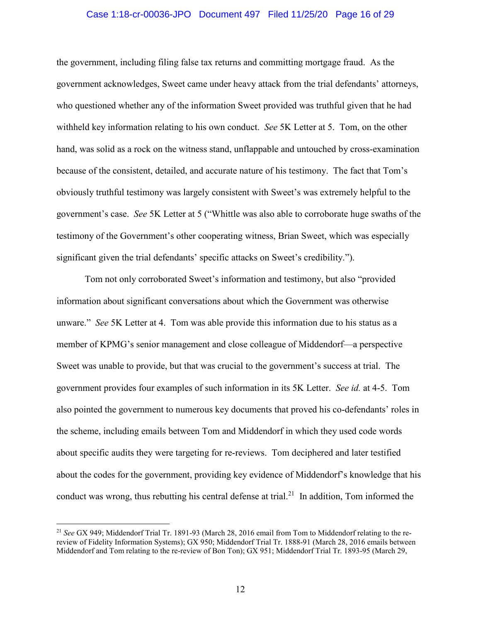#### Case 1:18-cr-00036-JPO Document 497 Filed 11/25/20 Page 16 of 29

the government, including filing false tax returns and committing mortgage fraud. As the government acknowledges, Sweet came under heavy attack from the trial defendants' attorneys, who questioned whether any of the information Sweet provided was truthful given that he had withheld key information relating to his own conduct. *See* 5K Letter at 5. Tom, on the other hand, was solid as a rock on the witness stand, unflappable and untouched by cross-examination because of the consistent, detailed, and accurate nature of his testimony. The fact that Tom's obviously truthful testimony was largely consistent with Sweet's was extremely helpful to the government's case. *See* 5K Letter at 5 ("Whittle was also able to corroborate huge swaths of the testimony of the Government's other cooperating witness, Brian Sweet, which was especially significant given the trial defendants' specific attacks on Sweet's credibility.").

Tom not only corroborated Sweet's information and testimony, but also "provided information about significant conversations about which the Government was otherwise unware." *See* 5K Letter at 4. Tom was able provide this information due to his status as a member of KPMG's senior management and close colleague of Middendorf—a perspective Sweet was unable to provide, but that was crucial to the government's success at trial. The government provides four examples of such information in its 5K Letter. *See id.* at 4-5. Tom also pointed the government to numerous key documents that proved his co-defendants' roles in the scheme, including emails between Tom and Middendorf in which they used code words about specific audits they were targeting for re-reviews. Tom deciphered and later testified about the codes for the government, providing key evidence of Middendorf's knowledge that his conduct was wrong, thus rebutting his central defense at trial.<sup>21</sup> In addition, Tom informed the

<sup>21</sup> *See* GX 949; Middendorf Trial Tr. 1891-93 (March 28, 2016 email from Tom to Middendorf relating to the rereview of Fidelity Information Systems); GX 950; Middendorf Trial Tr. 1888-91 (March 28, 2016 emails between Middendorf and Tom relating to the re-review of Bon Ton); GX 951; Middendorf Trial Tr. 1893-95 (March 29,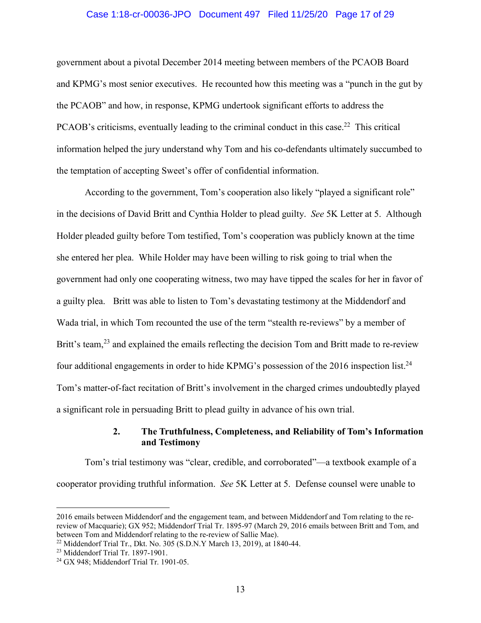#### Case 1:18-cr-00036-JPO Document 497 Filed 11/25/20 Page 17 of 29

government about a pivotal December 2014 meeting between members of the PCAOB Board and KPMG's most senior executives. He recounted how this meeting was a "punch in the gut by the PCAOB" and how, in response, KPMG undertook significant efforts to address the PCAOB's criticisms, eventually leading to the criminal conduct in this case.<sup>22</sup> This critical information helped the jury understand why Tom and his co-defendants ultimately succumbed to the temptation of accepting Sweet's offer of confidential information.

According to the government, Tom's cooperation also likely "played a significant role" in the decisions of David Britt and Cynthia Holder to plead guilty. *See* 5K Letter at 5. Although Holder pleaded guilty before Tom testified, Tom's cooperation was publicly known at the time she entered her plea. While Holder may have been willing to risk going to trial when the government had only one cooperating witness, two may have tipped the scales for her in favor of a guilty plea. Britt was able to listen to Tom's devastating testimony at the Middendorf and Wada trial, in which Tom recounted the use of the term "stealth re-reviews" by a member of Britt's team,<sup>23</sup> and explained the emails reflecting the decision Tom and Britt made to re-review four additional engagements in order to hide KPMG's possession of the 2016 inspection list.<sup>24</sup> Tom's matter-of-fact recitation of Britt's involvement in the charged crimes undoubtedly played a significant role in persuading Britt to plead guilty in advance of his own trial.

### **2. The Truthfulness, Completeness, and Reliability of Tom's Information and Testimony**

Tom's trial testimony was "clear, credible, and corroborated"—a textbook example of a cooperator providing truthful information. *See* 5K Letter at 5. Defense counsel were unable to

<sup>2016</sup> emails between Middendorf and the engagement team, and between Middendorf and Tom relating to the rereview of Macquarie); GX 952; Middendorf Trial Tr. 1895-97 (March 29, 2016 emails between Britt and Tom, and between Tom and Middendorf relating to the re-review of Sallie Mae).

<sup>&</sup>lt;sup>22</sup> Middendorf Trial Tr., Dkt. No. 305 (S.D.N.Y March 13, 2019), at 1840-44.

<sup>23</sup> Middendorf Trial Tr. 1897-1901.

<sup>24</sup> GX 948; Middendorf Trial Tr. 1901-05.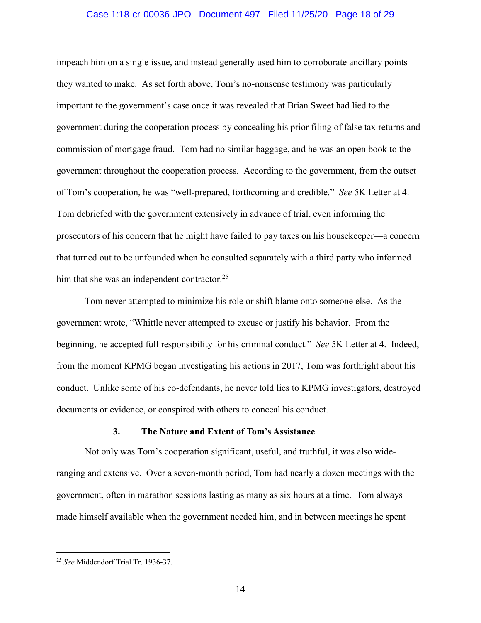#### Case 1:18-cr-00036-JPO Document 497 Filed 11/25/20 Page 18 of 29

impeach him on a single issue, and instead generally used him to corroborate ancillary points they wanted to make. As set forth above, Tom's no-nonsense testimony was particularly important to the government's case once it was revealed that Brian Sweet had lied to the government during the cooperation process by concealing his prior filing of false tax returns and commission of mortgage fraud. Tom had no similar baggage, and he was an open book to the government throughout the cooperation process. According to the government, from the outset of Tom's cooperation, he was "well-prepared, forthcoming and credible." *See* 5K Letter at 4. Tom debriefed with the government extensively in advance of trial, even informing the prosecutors of his concern that he might have failed to pay taxes on his housekeeper—a concern that turned out to be unfounded when he consulted separately with a third party who informed him that she was an independent contractor.<sup>25</sup>

Tom never attempted to minimize his role or shift blame onto someone else. As the government wrote, "Whittle never attempted to excuse or justify his behavior. From the beginning, he accepted full responsibility for his criminal conduct." *See* 5K Letter at 4. Indeed, from the moment KPMG began investigating his actions in 2017, Tom was forthright about his conduct. Unlike some of his co-defendants, he never told lies to KPMG investigators, destroyed documents or evidence, or conspired with others to conceal his conduct.

#### **3. The Nature and Extent of Tom's Assistance**

Not only was Tom's cooperation significant, useful, and truthful, it was also wideranging and extensive. Over a seven-month period, Tom had nearly a dozen meetings with the government, often in marathon sessions lasting as many as six hours at a time. Tom always made himself available when the government needed him, and in between meetings he spent

<sup>25</sup> *See* Middendorf Trial Tr. 1936-37.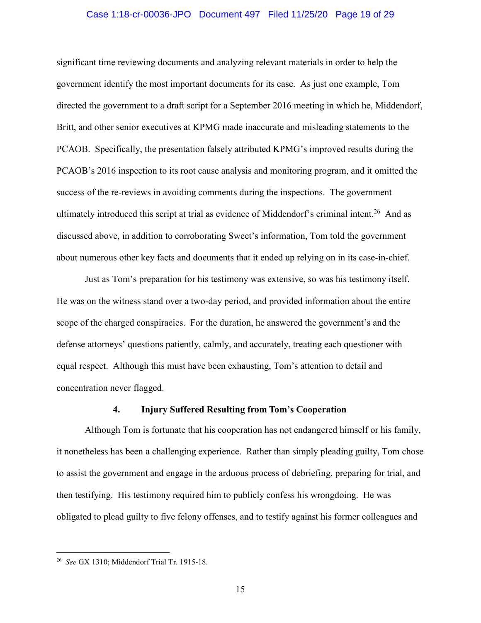#### Case 1:18-cr-00036-JPO Document 497 Filed 11/25/20 Page 19 of 29

significant time reviewing documents and analyzing relevant materials in order to help the government identify the most important documents for its case. As just one example, Tom directed the government to a draft script for a September 2016 meeting in which he, Middendorf, Britt, and other senior executives at KPMG made inaccurate and misleading statements to the PCAOB. Specifically, the presentation falsely attributed KPMG's improved results during the PCAOB's 2016 inspection to its root cause analysis and monitoring program, and it omitted the success of the re-reviews in avoiding comments during the inspections. The government ultimately introduced this script at trial as evidence of Middendorf's criminal intent.<sup>26</sup> And as discussed above, in addition to corroborating Sweet's information, Tom told the government about numerous other key facts and documents that it ended up relying on in its case-in-chief.

Just as Tom's preparation for his testimony was extensive, so was his testimony itself. He was on the witness stand over a two-day period, and provided information about the entire scope of the charged conspiracies. For the duration, he answered the government's and the defense attorneys' questions patiently, calmly, and accurately, treating each questioner with equal respect. Although this must have been exhausting, Tom's attention to detail and concentration never flagged.

#### **4. Injury Suffered Resulting from Tom's Cooperation**

Although Tom is fortunate that his cooperation has not endangered himself or his family, it nonetheless has been a challenging experience. Rather than simply pleading guilty, Tom chose to assist the government and engage in the arduous process of debriefing, preparing for trial, and then testifying. His testimony required him to publicly confess his wrongdoing. He was obligated to plead guilty to five felony offenses, and to testify against his former colleagues and

<sup>26</sup> *See* GX 1310; Middendorf Trial Tr. 1915-18.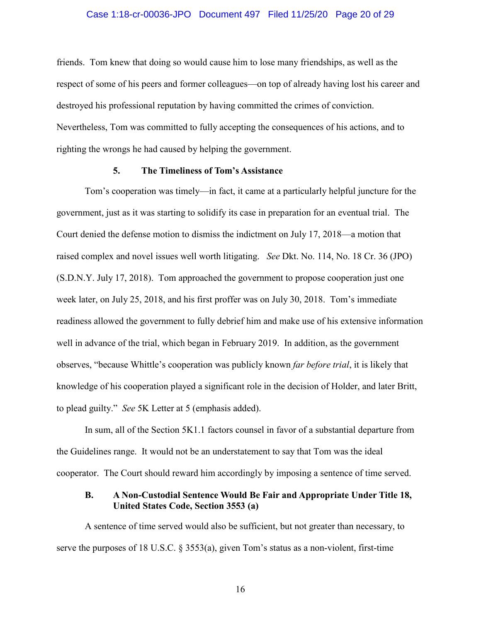#### Case 1:18-cr-00036-JPO Document 497 Filed 11/25/20 Page 20 of 29

friends. Tom knew that doing so would cause him to lose many friendships, as well as the respect of some of his peers and former colleagues—on top of already having lost his career and destroyed his professional reputation by having committed the crimes of conviction. Nevertheless, Tom was committed to fully accepting the consequences of his actions, and to righting the wrongs he had caused by helping the government.

#### **5. The Timeliness of Tom's Assistance**

Tom's cooperation was timely—in fact, it came at a particularly helpful juncture for the government, just as it was starting to solidify its case in preparation for an eventual trial. The Court denied the defense motion to dismiss the indictment on July 17, 2018—a motion that raised complex and novel issues well worth litigating. *See* Dkt. No. 114, No. 18 Cr. 36 (JPO) (S.D.N.Y. July 17, 2018). Tom approached the government to propose cooperation just one week later, on July 25, 2018, and his first proffer was on July 30, 2018. Tom's immediate readiness allowed the government to fully debrief him and make use of his extensive information well in advance of the trial, which began in February 2019. In addition, as the government observes, "because Whittle's cooperation was publicly known *far before trial*, it is likely that knowledge of his cooperation played a significant role in the decision of Holder, and later Britt, to plead guilty." *See* 5K Letter at 5 (emphasis added).

In sum, all of the Section 5K1.1 factors counsel in favor of a substantial departure from the Guidelines range. It would not be an understatement to say that Tom was the ideal cooperator. The Court should reward him accordingly by imposing a sentence of time served.

### **B. A Non-Custodial Sentence Would Be Fair and Appropriate Under Title 18, United States Code, Section 3553 (a)**

A sentence of time served would also be sufficient, but not greater than necessary, to serve the purposes of 18 U.S.C. § 3553(a), given Tom's status as a non-violent, first-time

16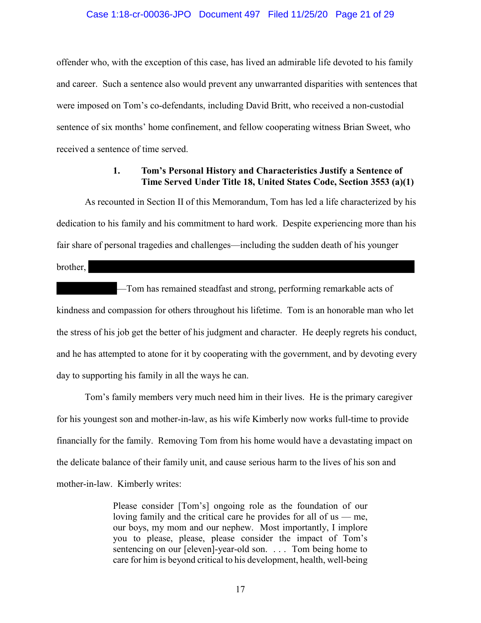#### Case 1:18-cr-00036-JPO Document 497 Filed 11/25/20 Page 21 of 29

offender who, with the exception of this case, has lived an admirable life devoted to his family and career. Such a sentence also would prevent any unwarranted disparities with sentences that were imposed on Tom's co-defendants, including David Britt, who received a non-custodial sentence of six months' home confinement, and fellow cooperating witness Brian Sweet, who received a sentence of time served.

### **1. Tom's Personal History and Characteristics Justify a Sentence of Time Served Under Title 18, United States Code, Section 3553 (a)(1)**

As recounted in Section II of this Memorandum, Tom has led a life characterized by his dedication to his family and his commitment to hard work. Despite experiencing more than his fair share of personal tragedies and challenges—including the sudden death of his younger

brother,

—Tom has remained steadfast and strong, performing remarkable acts of kindness and compassion for others throughout his lifetime. Tom is an honorable man who let the stress of his job get the better of his judgment and character. He deeply regrets his conduct, and he has attempted to atone for it by cooperating with the government, and by devoting every day to supporting his family in all the ways he can.

Tom's family members very much need him in their lives. He is the primary caregiver for his youngest son and mother-in-law, as his wife Kimberly now works full-time to provide financially for the family. Removing Tom from his home would have a devastating impact on the delicate balance of their family unit, and cause serious harm to the lives of his son and mother-in-law. Kimberly writes:

> Please consider [Tom's] ongoing role as the foundation of our loving family and the critical care he provides for all of us — me, our boys, my mom and our nephew. Most importantly, I implore you to please, please, please consider the impact of Tom's sentencing on our [eleven]-year-old son. . . . Tom being home to care for him is beyond critical to his development, health, well-being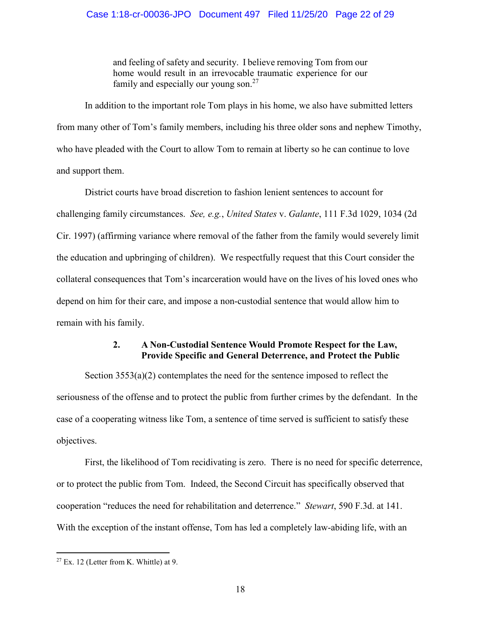and feeling of safety and security. I believe removing Tom from our home would result in an irrevocable traumatic experience for our family and especially our young son. $27$ 

In addition to the important role Tom plays in his home, we also have submitted letters from many other of Tom's family members, including his three older sons and nephew Timothy, who have pleaded with the Court to allow Tom to remain at liberty so he can continue to love and support them.

District courts have broad discretion to fashion lenient sentences to account for challenging family circumstances. *See, e.g.*, *United States* v. *Galante*, 111 F.3d 1029, 1034 (2d Cir. 1997) (affirming variance where removal of the father from the family would severely limit the education and upbringing of children). We respectfully request that this Court consider the collateral consequences that Tom's incarceration would have on the lives of his loved ones who depend on him for their care, and impose a non-custodial sentence that would allow him to remain with his family.

### **2. A Non-Custodial Sentence Would Promote Respect for the Law, Provide Specific and General Deterrence, and Protect the Public**

Section  $3553(a)(2)$  contemplates the need for the sentence imposed to reflect the seriousness of the offense and to protect the public from further crimes by the defendant. In the case of a cooperating witness like Tom, a sentence of time served is sufficient to satisfy these objectives.

First, the likelihood of Tom recidivating is zero. There is no need for specific deterrence, or to protect the public from Tom. Indeed, the Second Circuit has specifically observed that cooperation "reduces the need for rehabilitation and deterrence." *Stewart*, 590 F.3d. at 141. With the exception of the instant offense, Tom has led a completely law-abiding life, with an

 $27$  Ex. 12 (Letter from K. Whittle) at 9.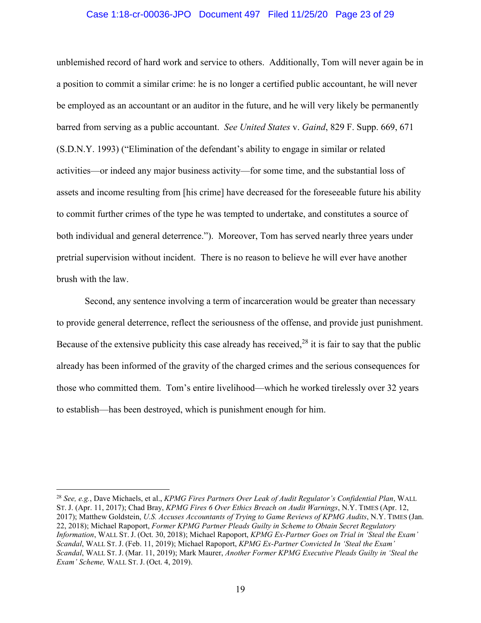#### Case 1:18-cr-00036-JPO Document 497 Filed 11/25/20 Page 23 of 29

unblemished record of hard work and service to others. Additionally, Tom will never again be in a position to commit a similar crime: he is no longer a certified public accountant, he will never be employed as an accountant or an auditor in the future, and he will very likely be permanently barred from serving as a public accountant. *See United States* v. *Gaind*, 829 F. Supp. 669, 671 (S.D.N.Y. 1993) ("Elimination of the defendant's ability to engage in similar or related activities—or indeed any major business activity—for some time, and the substantial loss of assets and income resulting from [his crime] have decreased for the foreseeable future his ability to commit further crimes of the type he was tempted to undertake, and constitutes a source of both individual and general deterrence."). Moreover, Tom has served nearly three years under pretrial supervision without incident. There is no reason to believe he will ever have another brush with the law.

Second, any sentence involving a term of incarceration would be greater than necessary to provide general deterrence, reflect the seriousness of the offense, and provide just punishment. Because of the extensive publicity this case already has received,  $28$  it is fair to say that the public already has been informed of the gravity of the charged crimes and the serious consequences for those who committed them. Tom's entire livelihood—which he worked tirelessly over 32 years to establish—has been destroyed, which is punishment enough for him.

<sup>28</sup> *See, e.g.*, Dave Michaels, et al., *KPMG Fires Partners Over Leak of Audit Regulator's Confidential Plan*, WALL ST. J. (Apr. 11, 2017); Chad Bray, *KPMG Fires 6 Over Ethics Breach on Audit Warnings*, N.Y. TIMES (Apr. 12, 2017); Matthew Goldstein, *U.S. Accuses Accountants of Trying to Game Reviews of KPMG Audits*, N.Y. TIMES (Jan. 22, 2018); Michael Rapoport, *Former KPMG Partner Pleads Guilty in Scheme to Obtain Secret Regulatory Information*, WALL ST. J. (Oct. 30, 2018); Michael Rapoport, *KPMG Ex-Partner Goes on Trial in 'Steal the Exam' Scandal*, WALL ST. J. (Feb. 11, 2019); Michael Rapoport, *KPMG Ex-Partner Convicted In 'Steal the Exam' Scandal*, WALL ST. J. (Mar. 11, 2019); Mark Maurer, *Another Former KPMG Executive Pleads Guilty in 'Steal the Exam' Scheme,* WALL ST. J. (Oct. 4, 2019).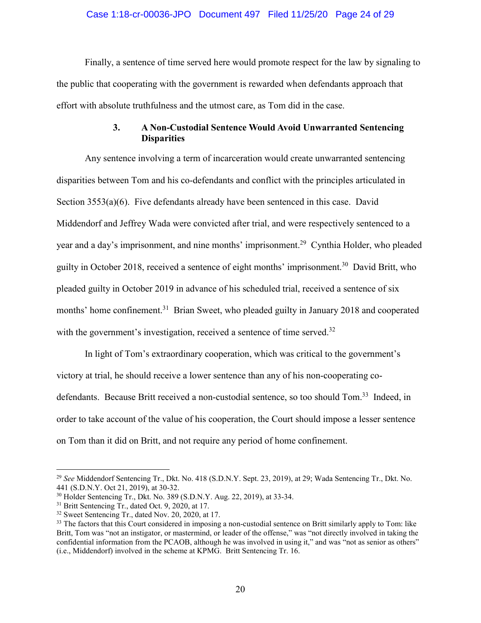#### Case 1:18-cr-00036-JPO Document 497 Filed 11/25/20 Page 24 of 29

Finally, a sentence of time served here would promote respect for the law by signaling to the public that cooperating with the government is rewarded when defendants approach that effort with absolute truthfulness and the utmost care, as Tom did in the case.

# **3. A Non-Custodial Sentence Would Avoid Unwarranted Sentencing Disparities**

Any sentence involving a term of incarceration would create unwarranted sentencing disparities between Tom and his co-defendants and conflict with the principles articulated in Section 3553(a)(6). Five defendants already have been sentenced in this case. David Middendorf and Jeffrey Wada were convicted after trial, and were respectively sentenced to a year and a day's imprisonment, and nine months' imprisonment.<sup>29</sup> Cynthia Holder, who pleaded guilty in October 2018, received a sentence of eight months' imprisonment.<sup>30</sup> David Britt, who pleaded guilty in October 2019 in advance of his scheduled trial, received a sentence of six months' home confinement.<sup>31</sup> Brian Sweet, who pleaded guilty in January 2018 and cooperated with the government's investigation, received a sentence of time served.<sup>32</sup>

In light of Tom's extraordinary cooperation, which was critical to the government's victory at trial, he should receive a lower sentence than any of his non-cooperating codefendants. Because Britt received a non-custodial sentence, so too should Tom.<sup>33</sup> Indeed, in order to take account of the value of his cooperation, the Court should impose a lesser sentence on Tom than it did on Britt, and not require any period of home confinement.

<sup>29</sup> *See* Middendorf Sentencing Tr., Dkt. No. 418 (S.D.N.Y. Sept. 23, 2019), at 29; Wada Sentencing Tr., Dkt. No. 441 (S.D.N.Y. Oct 21, 2019), at 30-32.

<sup>30</sup> Holder Sentencing Tr., Dkt. No. 389 (S.D.N.Y. Aug. 22, 2019), at 33-34.

<sup>&</sup>lt;sup>31</sup> Britt Sentencing Tr., dated Oct. 9, 2020, at 17.

<sup>&</sup>lt;sup>32</sup> Sweet Sentencing Tr., dated Nov. 20, 2020, at 17.

<sup>&</sup>lt;sup>33</sup> The factors that this Court considered in imposing a non-custodial sentence on Britt similarly apply to Tom: like Britt, Tom was "not an instigator, or mastermind, or leader of the offense," was "not directly involved in taking the confidential information from the PCAOB, although he was involved in using it," and was "not as senior as others" (i.e., Middendorf) involved in the scheme at KPMG. Britt Sentencing Tr. 16.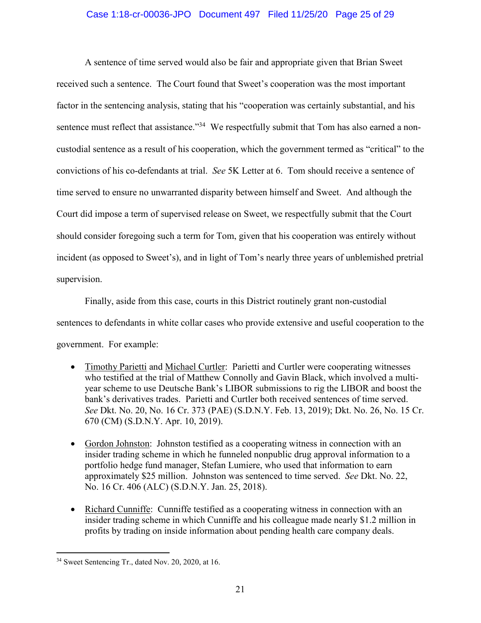### Case 1:18-cr-00036-JPO Document 497 Filed 11/25/20 Page 25 of 29

A sentence of time served would also be fair and appropriate given that Brian Sweet received such a sentence. The Court found that Sweet's cooperation was the most important factor in the sentencing analysis, stating that his "cooperation was certainly substantial, and his sentence must reflect that assistance."<sup>34</sup> We respectfully submit that Tom has also earned a noncustodial sentence as a result of his cooperation, which the government termed as "critical" to the convictions of his co-defendants at trial. *See* 5K Letter at 6. Tom should receive a sentence of time served to ensure no unwarranted disparity between himself and Sweet. And although the Court did impose a term of supervised release on Sweet, we respectfully submit that the Court should consider foregoing such a term for Tom, given that his cooperation was entirely without incident (as opposed to Sweet's), and in light of Tom's nearly three years of unblemished pretrial supervision.

Finally, aside from this case, courts in this District routinely grant non-custodial sentences to defendants in white collar cases who provide extensive and useful cooperation to the government. For example:

- Timothy Parietti and Michael Curtler: Parietti and Curtler were cooperating witnesses who testified at the trial of Matthew Connolly and Gavin Black, which involved a multiyear scheme to use Deutsche Bank's LIBOR submissions to rig the LIBOR and boost the bank's derivatives trades. Parietti and Curtler both received sentences of time served. *See* Dkt. No. 20, No. 16 Cr. 373 (PAE) (S.D.N.Y. Feb. 13, 2019); Dkt. No. 26, No. 15 Cr. 670 (CM) (S.D.N.Y. Apr. 10, 2019).
- Gordon Johnston: Johnston testified as a cooperating witness in connection with an insider trading scheme in which he funneled nonpublic drug approval information to a portfolio hedge fund manager, Stefan Lumiere, who used that information to earn approximately \$25 million. Johnston was sentenced to time served. *See* Dkt. No. 22, No. 16 Cr. 406 (ALC) (S.D.N.Y. Jan. 25, 2018).
- Richard Cunniffe: Cunniffe testified as a cooperating witness in connection with an insider trading scheme in which Cunniffe and his colleague made nearly \$1.2 million in profits by trading on inside information about pending health care company deals.

<sup>34</sup> Sweet Sentencing Tr., dated Nov. 20, 2020, at 16.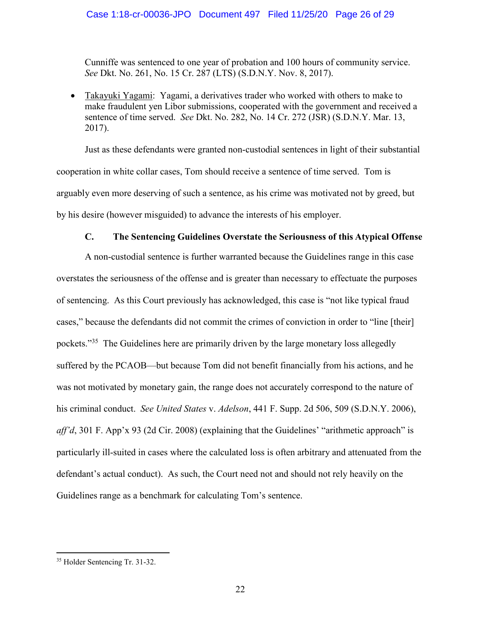Cunniffe was sentenced to one year of probation and 100 hours of community service. *See* Dkt. No. 261, No. 15 Cr. 287 (LTS) (S.D.N.Y. Nov. 8, 2017).

 Takayuki Yagami: Yagami, a derivatives trader who worked with others to make to make fraudulent yen Libor submissions, cooperated with the government and received a sentence of time served. *See* Dkt. No. 282, No. 14 Cr. 272 (JSR) (S.D.N.Y. Mar. 13, 2017).

Just as these defendants were granted non-custodial sentences in light of their substantial cooperation in white collar cases, Tom should receive a sentence of time served. Tom is arguably even more deserving of such a sentence, as his crime was motivated not by greed, but by his desire (however misguided) to advance the interests of his employer.

### **C. The Sentencing Guidelines Overstate the Seriousness of this Atypical Offense**

A non-custodial sentence is further warranted because the Guidelines range in this case overstates the seriousness of the offense and is greater than necessary to effectuate the purposes of sentencing. As this Court previously has acknowledged, this case is "not like typical fraud cases," because the defendants did not commit the crimes of conviction in order to "line [their] pockets."<sup>35</sup> The Guidelines here are primarily driven by the large monetary loss allegedly suffered by the PCAOB—but because Tom did not benefit financially from his actions, and he was not motivated by monetary gain, the range does not accurately correspond to the nature of his criminal conduct. *See United States* v. *Adelson*, 441 F. Supp. 2d 506, 509 (S.D.N.Y. 2006), *aff'd*, 301 F. App'x 93 (2d Cir. 2008) (explaining that the Guidelines' "arithmetic approach" is particularly ill-suited in cases where the calculated loss is often arbitrary and attenuated from the defendant's actual conduct). As such, the Court need not and should not rely heavily on the Guidelines range as a benchmark for calculating Tom's sentence.

<sup>35</sup> Holder Sentencing Tr. 31-32.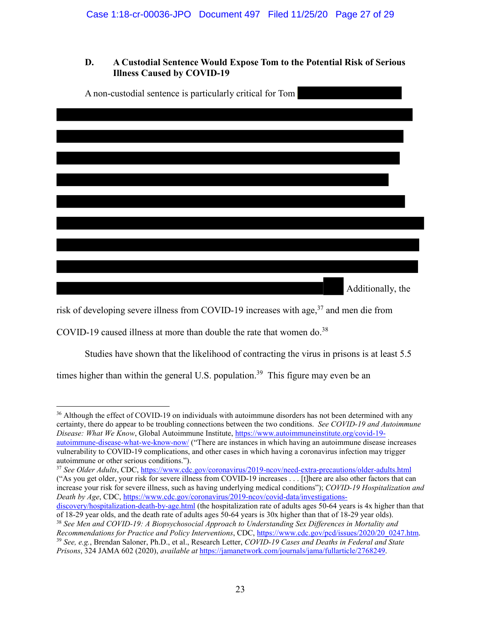# **D. A Custodial Sentence Would Expose Tom to the Potential Risk of Serious Illness Caused by COVID-19**

| A non-custodial sentence is particularly critical for Tom |  |
|-----------------------------------------------------------|--|
|                                                           |  |
|                                                           |  |
|                                                           |  |
|                                                           |  |
|                                                           |  |
|                                                           |  |
|                                                           |  |
|                                                           |  |
|                                                           |  |
|                                                           |  |
|                                                           |  |
| Additionally, the                                         |  |

risk of developing severe illness from COVID-19 increases with age,  $37$  and men die from

COVID-19 caused illness at more than double the rate that women do.<sup>38</sup>

Studies have shown that the likelihood of contracting the virus in prisons is at least 5.5

times higher than within the general U.S. population.<sup>39</sup> This figure may even be an

<sup>36</sup> Although the effect of COVID-19 on individuals with autoimmune disorders has not been determined with any certainty, there do appear to be troubling connections between the two conditions. *See COVID-19 and Autoimmune Disease: What We Know*, Global Autoimmune Institute, https://www.autoimmuneinstitute.org/covid-19 autoimmune-disease-what-we-know-now/ ("There are instances in which having an autoimmune disease increases vulnerability to COVID-19 complications, and other cases in which having a coronavirus infection may trigger autoimmune or other serious conditions.").

<sup>37</sup> *See Older Adults*, CDC, https://www.cdc.gov/coronavirus/2019-ncov/need-extra-precautions/older-adults.html ("As you get older, your risk for severe illness from COVID-19 increases . . . [t]here are also other factors that can increase your risk for severe illness, such as having underlying medical conditions"); *COVID-19 Hospitalization and Death by Age*, CDC, https://www.cdc.gov/coronavirus/2019-ncov/covid-data/investigations-

discovery/hospitalization-death-by-age.html (the hospitalization rate of adults ages 50-64 years is 4x higher than that of 18-29 year olds, and the death rate of adults ages 50-64 years is 30x higher than that of 18-29 year olds).

<sup>38</sup> *See Men and COVID-19: A Biopsychosocial Approach to Understanding Sex Differences in Mortality and Recommendations for Practice and Policy Interventions*, CDC, https://www.cdc.gov/pcd/issues/2020/20\_0247.htm. <sup>39</sup> *See, e.g.*, Brendan Saloner, Ph.D., et al., Research Letter, *COVID-19 Cases and Deaths in Federal and State* 

*Prisons*, 324 JAMA 602 (2020), *available at* https://jamanetwork.com/journals/jama/fullarticle/2768249.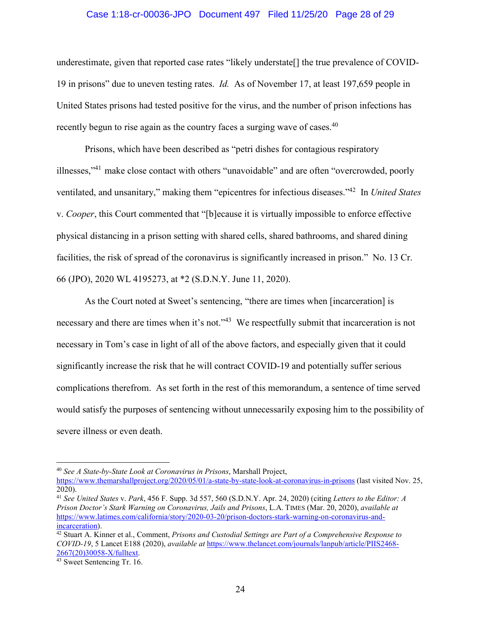#### Case 1:18-cr-00036-JPO Document 497 Filed 11/25/20 Page 28 of 29

underestimate, given that reported case rates "likely understate[] the true prevalence of COVID-19 in prisons" due to uneven testing rates. *Id.* As of November 17, at least 197,659 people in United States prisons had tested positive for the virus, and the number of prison infections has recently begun to rise again as the country faces a surging wave of cases.<sup>40</sup>

Prisons, which have been described as "petri dishes for contagious respiratory illnesses,"<sup>41</sup> make close contact with others "unavoidable" and are often "overcrowded, poorly ventilated, and unsanitary," making them "epicentres for infectious diseases."<sup>42</sup> In *United States*  v. *Cooper*, this Court commented that "[b]ecause it is virtually impossible to enforce effective physical distancing in a prison setting with shared cells, shared bathrooms, and shared dining facilities, the risk of spread of the coronavirus is significantly increased in prison." No. 13 Cr. 66 (JPO), 2020 WL 4195273, at \*2 (S.D.N.Y. June 11, 2020).

As the Court noted at Sweet's sentencing, "there are times when [incarceration] is necessary and there are times when it's not."<sup>43</sup> We respectfully submit that incarceration is not necessary in Tom's case in light of all of the above factors, and especially given that it could significantly increase the risk that he will contract COVID-19 and potentially suffer serious complications therefrom. As set forth in the rest of this memorandum, a sentence of time served would satisfy the purposes of sentencing without unnecessarily exposing him to the possibility of severe illness or even death.

<sup>40</sup> *See A State-by-State Look at Coronavirus in Prisons*, Marshall Project,

https://www.themarshallproject.org/2020/05/01/a-state-by-state-look-at-coronavirus-in-prisons (last visited Nov. 25, 2020).

<sup>41</sup> *See United States* v. *Park*, 456 F. Supp. 3d 557, 560 (S.D.N.Y. Apr. 24, 2020) (citing *Letters to the Editor: A Prison Doctor's Stark Warning on Coronavirus, Jails and Prisons*, L.A. TIMES (Mar. 20, 2020), *available at*  https://www.latimes.com/california/story/2020-03-20/prison-doctors-stark-warning-on-coronavirus-andincarceration).

<sup>42</sup> Stuart A. Kinner et al., Comment, *Prisons and Custodial Settings are Part of a Comprehensive Response to COVID-19*, 5 Lancet E188 (2020), *available at* https://www.thelancet.com/journals/lanpub/article/PIIS2468- 2667(20)30058-X/fulltext.

<sup>&</sup>lt;sup>43</sup> Sweet Sentencing Tr. 16.